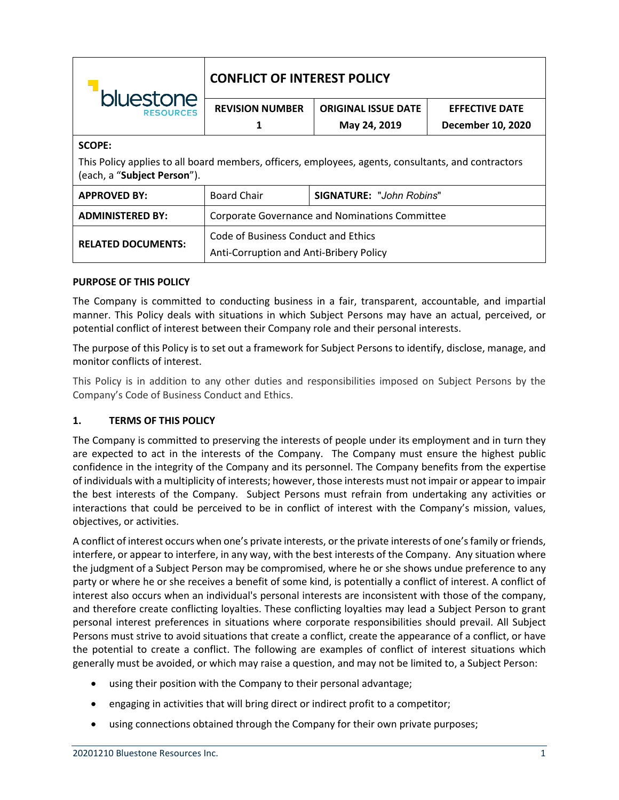| bluestone<br><b>RESOURCES</b>                                                                                                      | <b>CONFLICT OF INTEREST POLICY</b>                                             |                                 |                       |
|------------------------------------------------------------------------------------------------------------------------------------|--------------------------------------------------------------------------------|---------------------------------|-----------------------|
|                                                                                                                                    | <b>REVISION NUMBER</b>                                                         | <b>ORIGINAL ISSUE DATE</b>      | <b>EFFECTIVE DATE</b> |
|                                                                                                                                    | 1                                                                              | May 24, 2019                    | December 10, 2020     |
| <b>SCOPE:</b>                                                                                                                      |                                                                                |                                 |                       |
| This Policy applies to all board members, officers, employees, agents, consultants, and contractors<br>(each, a "Subject Person"). |                                                                                |                                 |                       |
| <b>APPROVED BY:</b>                                                                                                                | <b>Board Chair</b>                                                             | <b>SIGNATURE: "John Robins"</b> |                       |
| <b>ADMINISTERED BY:</b>                                                                                                            | <b>Corporate Governance and Nominations Committee</b>                          |                                 |                       |
| <b>RELATED DOCUMENTS:</b>                                                                                                          | Code of Business Conduct and Ethics<br>Anti-Corruption and Anti-Bribery Policy |                                 |                       |

## **PURPOSE OF THIS POLICY**

The Company is committed to conducting business in a fair, transparent, accountable, and impartial manner. This Policy deals with situations in which Subject Persons may have an actual, perceived, or potential conflict of interest between their Company role and their personal interests.

The purpose of this Policy is to set out a framework for Subject Persons to identify, disclose, manage, and monitor conflicts of interest.

This Policy is in addition to any other duties and responsibilities imposed on Subject Persons by the Company's Code of Business Conduct and Ethics.

### **1. TERMS OF THIS POLICY**

The Company is committed to preserving the interests of people under its employment and in turn they are expected to act in the interests of the Company. The Company must ensure the highest public confidence in the integrity of the Company and its personnel. The Company benefits from the expertise of individuals with a multiplicity of interests; however, those interests must not impair or appear to impair the best interests of the Company. Subject Persons must refrain from undertaking any activities or interactions that could be perceived to be in conflict of interest with the Company's mission, values, objectives, or activities.

A conflict of interest occurs when one's private interests, or the private interests of one's family or friends, interfere, or appear to interfere, in any way, with the best interests of the Company. Any situation where the judgment of a Subject Person may be compromised, where he or she shows undue preference to any party or where he or she receives a benefit of some kind, is potentially a conflict of interest. A conflict of interest also occurs when an individual's personal interests are inconsistent with those of the company, and therefore create conflicting loyalties. These conflicting loyalties may lead a Subject Person to grant personal interest preferences in situations where corporate responsibilities should prevail. All Subject Persons must strive to avoid situations that create a conflict, create the appearance of a conflict, or have the potential to create a conflict. The following are examples of conflict of interest situations which generally must be avoided, or which may raise a question, and may not be limited to, a Subject Person:

- using their position with the Company to their personal advantage;
- engaging in activities that will bring direct or indirect profit to a competitor;
- using connections obtained through the Company for their own private purposes;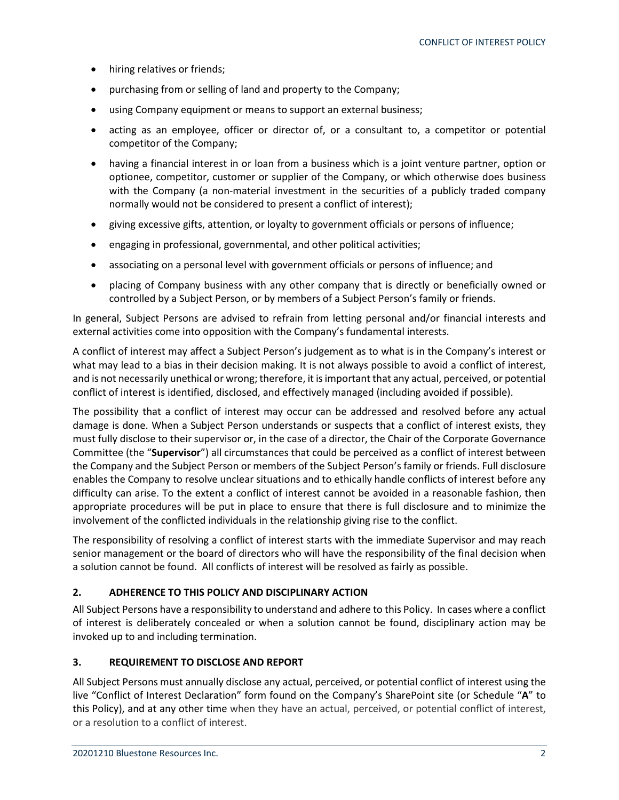- hiring relatives or friends;
- purchasing from or selling of land and property to the Company;
- using Company equipment or means to support an external business;
- acting as an employee, officer or director of, or a consultant to, a competitor or potential competitor of the Company;
- having a financial interest in or loan from a business which is a joint venture partner, option or optionee, competitor, customer or supplier of the Company, or which otherwise does business with the Company (a non-material investment in the securities of a publicly traded company normally would not be considered to present a conflict of interest);
- giving excessive gifts, attention, or loyalty to government officials or persons of influence;
- engaging in professional, governmental, and other political activities;
- associating on a personal level with government officials or persons of influence; and
- placing of Company business with any other company that is directly or beneficially owned or controlled by a Subject Person, or by members of a Subject Person's family or friends.

In general, Subject Persons are advised to refrain from letting personal and/or financial interests and external activities come into opposition with the Company's fundamental interests.

A conflict of interest may affect a Subject Person's judgement as to what is in the Company's interest or what may lead to a bias in their decision making. It is not always possible to avoid a conflict of interest, and is not necessarily unethical or wrong; therefore, it is important that any actual, perceived, or potential conflict of interest is identified, disclosed, and effectively managed (including avoided if possible).

The possibility that a conflict of interest may occur can be addressed and resolved before any actual damage is done. When a Subject Person understands or suspects that a conflict of interest exists, they must fully disclose to their supervisor or, in the case of a director, the Chair of the Corporate Governance Committee (the "**Supervisor**") all circumstances that could be perceived as a conflict of interest between the Company and the Subject Person or members of the Subject Person's family or friends. Full disclosure enables the Company to resolve unclear situations and to ethically handle conflicts of interest before any difficulty can arise. To the extent a conflict of interest cannot be avoided in a reasonable fashion, then appropriate procedures will be put in place to ensure that there is full disclosure and to minimize the involvement of the conflicted individuals in the relationship giving rise to the conflict.

The responsibility of resolving a conflict of interest starts with the immediate Supervisor and may reach senior management or the board of directors who will have the responsibility of the final decision when a solution cannot be found. All conflicts of interest will be resolved as fairly as possible.

# **2. ADHERENCE TO THIS POLICY AND DISCIPLINARY ACTION**

All Subject Persons have a responsibility to understand and adhere to this Policy. In cases where a conflict of interest is deliberately concealed or when a solution cannot be found, disciplinary action may be invoked up to and including termination.

### **3. REQUIREMENT TO DISCLOSE AND REPORT**

All Subject Persons must annually disclose any actual, perceived, or potential conflict of interest using the live "Conflict of Interest Declaration" form found on the Company's SharePoint site (or Schedule "**A**" to this Policy), and at any other time when they have an actual, perceived, or potential conflict of interest, or a resolution to a conflict of interest.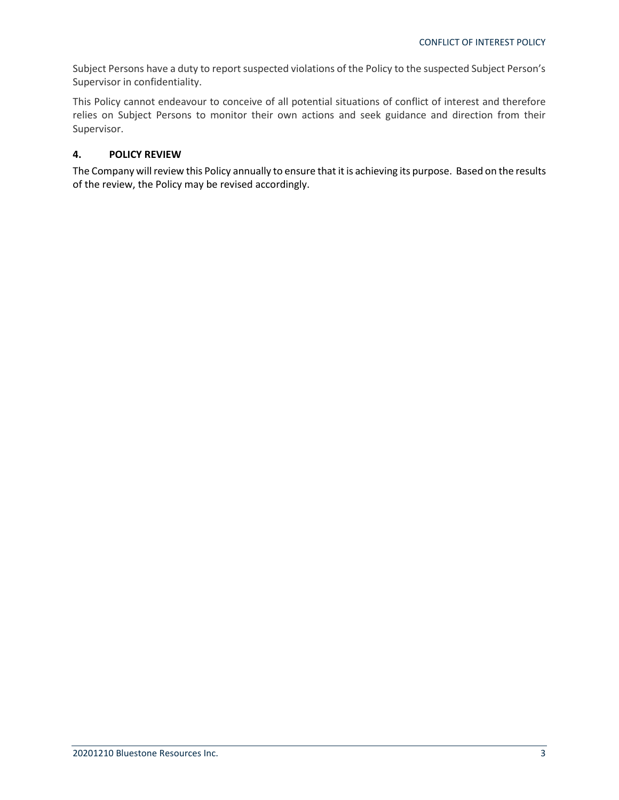Subject Persons have a duty to report suspected violations of the Policy to the suspected Subject Person's Supervisor in confidentiality.

This Policy cannot endeavour to conceive of all potential situations of conflict of interest and therefore relies on Subject Persons to monitor their own actions and seek guidance and direction from their Supervisor.

### **4. POLICY REVIEW**

The Company will review this Policy annually to ensure that it is achieving its purpose. Based on the results of the review, the Policy may be revised accordingly.